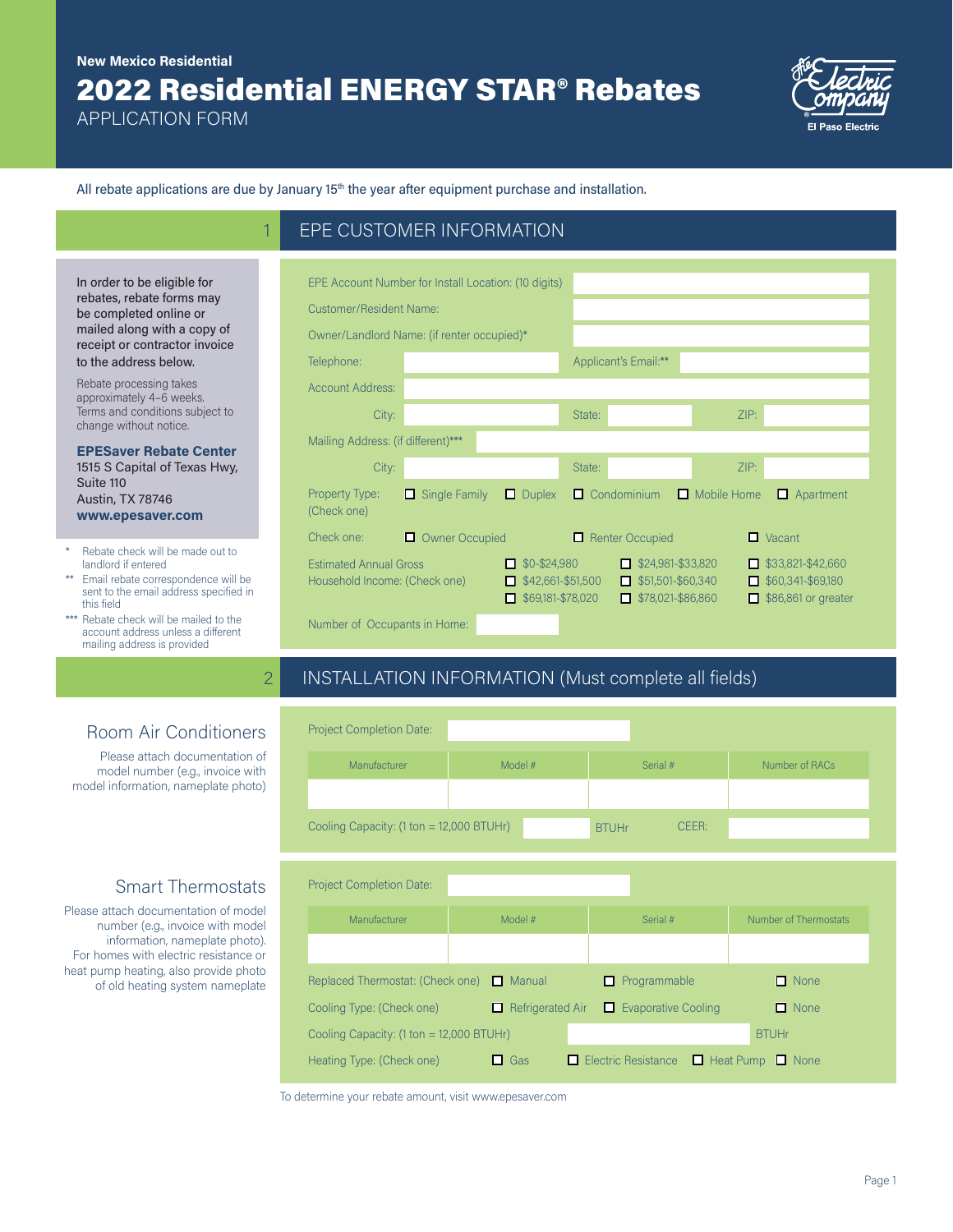## 2022 Residential ENERGY STAR® Rebates **New Mexico Residential**

EPE CUSTOMER INFORMATION

APPLICATION FORM



All rebate applications are due by January  $15<sup>th</sup>$  the year after equipment purchase and installation.

| EPE Account Number for Install Location: (10 digits)           |                      |                                                                                     |        |                                                                                  |                    |                                                                                    |
|----------------------------------------------------------------|----------------------|-------------------------------------------------------------------------------------|--------|----------------------------------------------------------------------------------|--------------------|------------------------------------------------------------------------------------|
| Customer/Resident Name:                                        |                      |                                                                                     |        |                                                                                  |                    |                                                                                    |
| Owner/Landlord Name: (if renter occupied)*                     |                      |                                                                                     |        |                                                                                  |                    |                                                                                    |
| Telephone:                                                     |                      |                                                                                     |        | Applicant's Email:**                                                             |                    |                                                                                    |
| <b>Account Address:</b>                                        |                      |                                                                                     |        |                                                                                  |                    |                                                                                    |
| City:                                                          |                      |                                                                                     | State: |                                                                                  | ZIP:               |                                                                                    |
| Mailing Address: (if different)***                             |                      |                                                                                     |        |                                                                                  |                    |                                                                                    |
| City:                                                          |                      |                                                                                     | State: |                                                                                  | ZIP:               |                                                                                    |
| Property Type:<br>(Check one)                                  | $\Box$ Single Family | $\Box$ Duplex                                                                       | п      | Condominium                                                                      | $\Box$ Mobile Home | $\Box$ Apartment                                                                   |
| Check one:                                                     | Owner Occupied<br>0  |                                                                                     | 0      | <b>Renter Occupied</b>                                                           |                    | $\Box$ Vacant                                                                      |
| <b>Estimated Annual Gross</b><br>Household Income: (Check one) |                      | $\Box$ \$0-\$24,980<br>$\blacksquare$ \$42,661-\$51,500<br>$\Box$ \$69,181-\$78,020 |        | $\Box$ \$24,981-\$33,820<br>$\Box$ \$51,501-\$60,340<br>$\Box$ \$78,021-\$86,860 |                    | $\Box$ \$33,821-\$42,660<br>$\Box$ \$60,341-\$69,180<br>$\Box$ \$86,861 or greater |
| Number of Occupants in Home:                                   |                      |                                                                                     |        |                                                                                  |                    |                                                                                    |

### 2 INSTALLATION INFORMATION (Must complete all fields)

| Manufacturer                                                                                   | Model # | Serial #     |                            | Number of RACs        |
|------------------------------------------------------------------------------------------------|---------|--------------|----------------------------|-----------------------|
|                                                                                                |         |              |                            |                       |
| Cooling Capacity: (1 ton = 12,000 BTUHr)                                                       |         | <b>BTUHr</b> | CFFR:                      |                       |
| <b>Project Completion Date:</b>                                                                |         |              |                            |                       |
| Manufacturer                                                                                   | Model # | Serial #     |                            | Number of Thermostats |
|                                                                                                |         |              |                            |                       |
|                                                                                                |         | Programmable |                            | $\Box$ None           |
| Replaced Thermostat: (Check one) □ Manual<br>Cooling Type: (Check one) $\Box$ Refrigerated Air |         |              | $\Box$ Evaporative Cooling | $\Box$ None           |

To determine your rebate amount, visit www.epesaver.com

In order to be eligible for rebates, rebate forms may be completed online or mailed along with a copy of receipt or contractor invoice to the address below.

Rebate processing takes approximately 4–6 weeks. Terms and conditions subject to change without notice.

**EPESaver Rebate Center**  1515 S Capital of Texas Hwy, Suite 110 Austin, TX 78746 **www.epesaver.com**

- Rebate check will be made out to landlord if entered
- \*\* Email rebate correspondence will be sent to the email address specified in this field
- \*\*\* Rebate check will be mailed to the account address unless a different mailing address is provided

# Room Air Conditioners

Please attach documentation of model number (e.g., invoice with model information, nameplate photo)

#### Smart Thermostats

Please attach documentation of model number (e.g., invoice with model information, nameplate photo). For homes with electric resistance or heat pump heating, also provide photo of old heating system nameplate